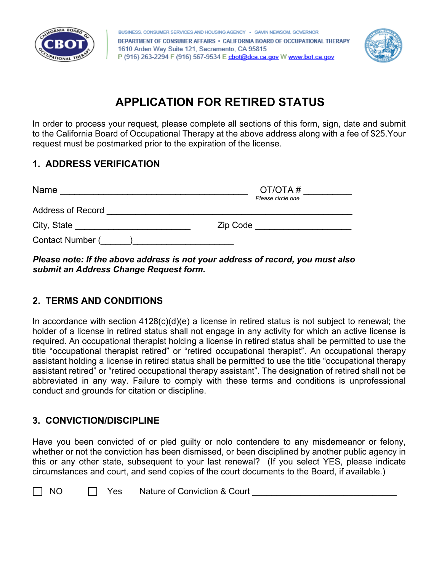



# **APPLICATION FOR RETIRED STATUS**

In order to process your request, please complete all sections of this form, sign, date and submit to the California Board of Occupational Therapy at the above address along with a fee of \$25.Your request must be postmarked prior to the expiration of the license.

## **1. ADDRESS VERIFICATION**

| Name                     | OT/OTA#           |  |
|--------------------------|-------------------|--|
|                          | Please circle one |  |
| <b>Address of Record</b> |                   |  |
| City, State              | Zip Code          |  |
| Contact Number (         |                   |  |

*Please note: If the above address is not your address of record, you must also submit an Address Change Request form.* 

# **2. TERMS AND CONDITIONS**

In accordance with section  $4128(c)(d)(e)$  a license in retired status is not subject to renewal; the holder of a license in retired status shall not engage in any activity for which an active license is required. An occupational therapist holding a license in retired status shall be permitted to use the title "occupational therapist retired" or "retired occupational therapist". An occupational therapy assistant holding a license in retired status shall be permitted to use the title "occupational therapy assistant retired" or "retired occupational therapy assistant". The designation of retired shall not be abbreviated in any way. Failure to comply with these terms and conditions is unprofessional conduct and grounds for citation or discipline.

## **3. CONVICTION/DISCIPLINE**

Have you been convicted of or pled guilty or nolo contendere to any misdemeanor or felony, whether or not the conviction has been dismissed, or been disciplined by another public agency in this or any other state, subsequent to your last renewal? (If you select YES, please indicate circumstances and court, and send copies of the court documents to the Board, if available.)

| <b>NO</b> | Yes | <b>Nature of Conviction &amp; Court</b> |
|-----------|-----|-----------------------------------------|
|-----------|-----|-----------------------------------------|